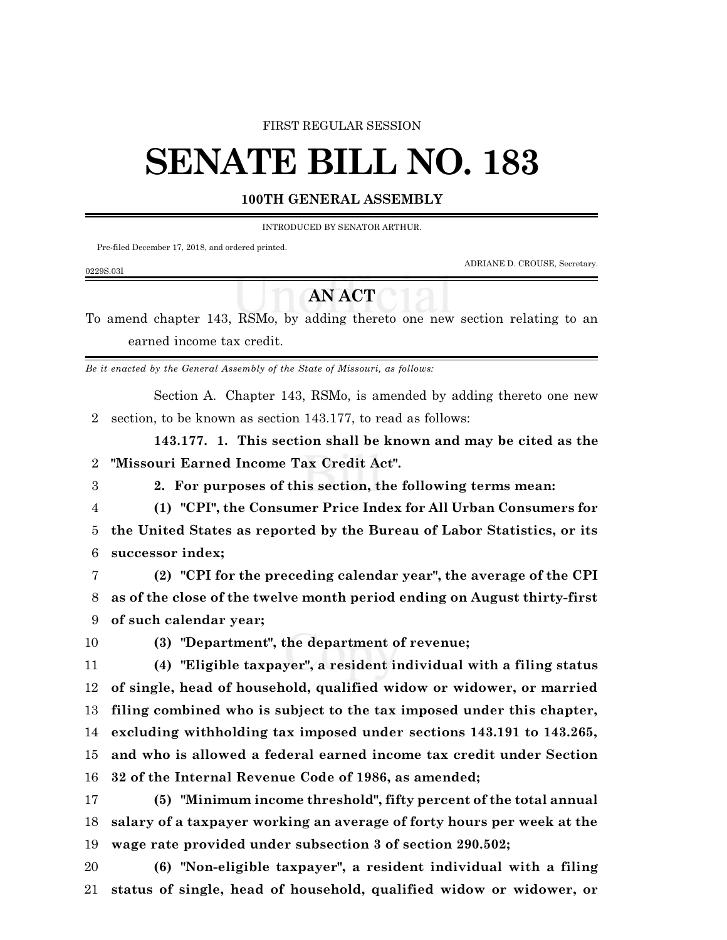#### FIRST REGULAR SESSION

# **SENATE BILL NO. 183**

### **100TH GENERAL ASSEMBLY**

INTRODUCED BY SENATOR ARTHUR.

Pre-filed December 17, 2018, and ordered printed.

ADRIANE D. CROUSE, Secretary.

#### 0229S.03I

## **AN ACT**

To amend chapter 143, RSMo, by adding thereto one new section relating to an earned income tax credit.

*Be it enacted by the General Assembly of the State of Missouri, as follows:*

Section A. Chapter 143, RSMo, is amended by adding thereto one new section, to be known as section 143.177, to read as follows:

**143.177. 1. This section shall be known and may be cited as the "Missouri Earned Income Tax Credit Act".**

**2. For purposes of this section, the following terms mean:**

**(1) "CPI", the Consumer Price Index for All Urban Consumers for**

 **the United States as reported by the Bureau of Labor Statistics, or its successor index;**

- **(2) "CPI for the preceding calendar year", the average of the CPI as of the close of the twelve month period ending on August thirty-first of such calendar year;**
- 

**(3) "Department", the department of revenue;**

 **(4) "Eligible taxpayer", a resident individual with a filing status of single, head of household, qualified widow or widower, or married filing combined who is subject to the tax imposed under this chapter, excluding withholding tax imposed under sections 143.191 to 143.265, and who is allowed a federal earned income tax credit under Section**

**32 of the Internal Revenue Code of 1986, as amended;**

 **(5) "Minimum income threshold", fifty percent of the total annual salary of a taxpayer working an average of forty hours per week at the wage rate provided under subsection 3 of section 290.502;**

 **(6) "Non-eligible taxpayer", a resident individual with a filing status of single, head of household, qualified widow or widower, or**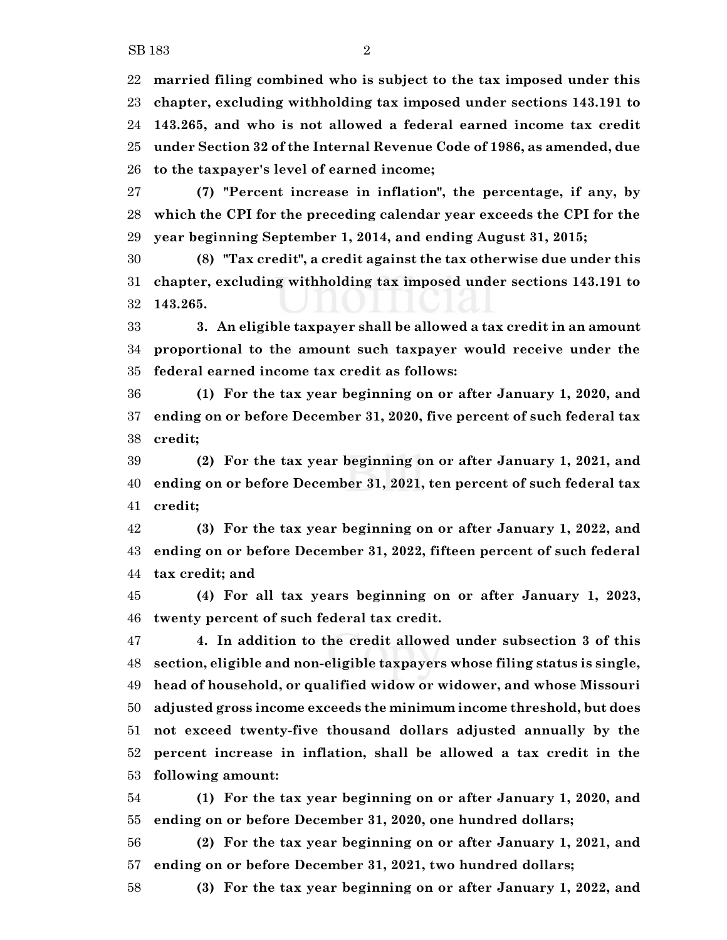**married filing combined who is subject to the tax imposed under this chapter, excluding withholding tax imposed under sections 143.191 to 143.265, and who is not allowed a federal earned income tax credit under Section 32 of the Internal Revenue Code of 1986, as amended, due to the taxpayer's level of earned income;**

 **(7) "Percent increase in inflation", the percentage, if any, by which the CPI for the preceding calendar year exceeds the CPI for the year beginning September 1, 2014, and ending August 31, 2015;**

 **(8) "Tax credit", a credit against the tax otherwise due under this chapter, excluding withholding tax imposed under sections 143.191 to 143.265.**

 **3. An eligible taxpayer shall be allowed a tax credit in an amount proportional to the amount such taxpayer would receive under the federal earned income tax credit as follows:**

 **(1) For the tax year beginning on or after January 1, 2020, and ending on or before December 31, 2020, five percent of such federal tax credit;**

 **(2) For the tax year beginning on or after January 1, 2021, and ending on or before December 31, 2021, ten percent of such federal tax credit;**

 **(3) For the tax year beginning on or after January 1, 2022, and ending on or before December 31, 2022, fifteen percent of such federal tax credit; and**

 **(4) For all tax years beginning on or after January 1, 2023, twenty percent of such federal tax credit.**

 **4. In addition to the credit allowed under subsection 3 of this section, eligible and non-eligible taxpayers whose filing status is single, head of household, or qualified widow or widower, and whose Missouri adjusted gross income exceeds the minimum income threshold, but does not exceed twenty-five thousand dollars adjusted annually by the percent increase in inflation, shall be allowed a tax credit in the following amount:**

 **(1) For the tax year beginning on or after January 1, 2020, and ending on or before December 31, 2020, one hundred dollars;**

 **(2) For the tax year beginning on or after January 1, 2021, and ending on or before December 31, 2021, two hundred dollars;**

**(3) For the tax year beginning on or after January 1, 2022, and**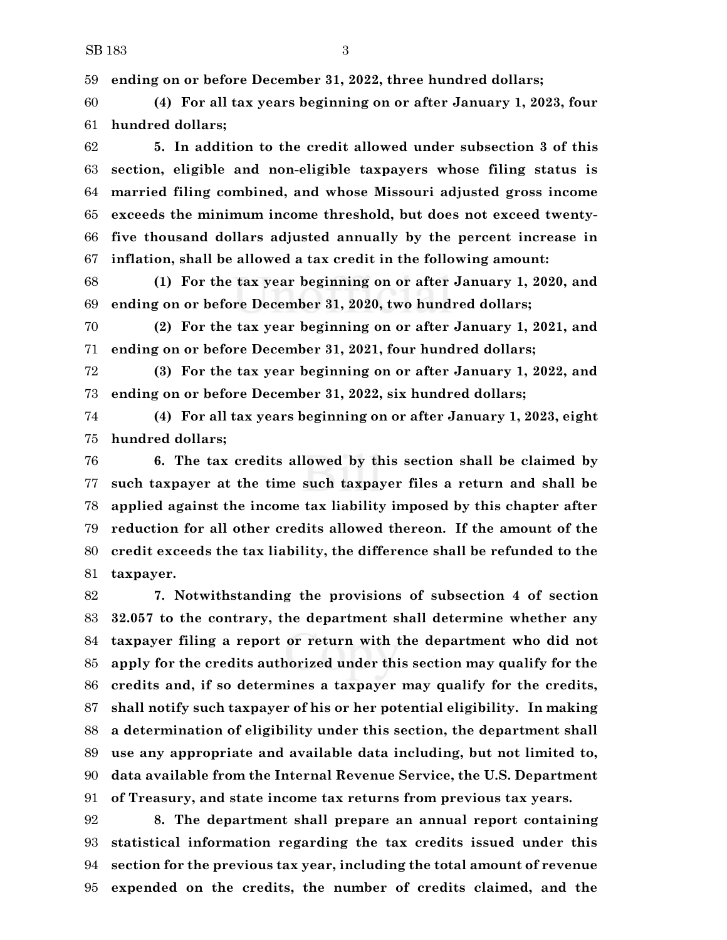**ending on or before December 31, 2022, three hundred dollars;**

 **(4) For all tax years beginning on or after January 1, 2023, four hundred dollars;**

 **5. In addition to the credit allowed under subsection 3 of this section, eligible and non-eligible taxpayers whose filing status is married filing combined, and whose Missouri adjusted gross income exceeds the minimum income threshold, but does not exceed twenty- five thousand dollars adjusted annually by the percent increase in inflation, shall be allowed a tax credit in the following amount:**

 **(1) For the tax year beginning on or after January 1, 2020, and ending on or before December 31, 2020, two hundred dollars;**

 **(2) For the tax year beginning on or after January 1, 2021, and ending on or before December 31, 2021, four hundred dollars;**

 **(3) For the tax year beginning on or after January 1, 2022, and ending on or before December 31, 2022, six hundred dollars;**

 **(4) For all tax years beginning on or after January 1, 2023, eight hundred dollars;**

 **6. The tax credits allowed by this section shall be claimed by such taxpayer at the time such taxpayer files a return and shall be applied against the income tax liability imposed by this chapter after reduction for all other credits allowed thereon. If the amount of the credit exceeds the tax liability, the difference shall be refunded to the taxpayer.**

 **7. Notwithstanding the provisions of subsection 4 of section 32.057 to the contrary, the department shall determine whether any taxpayer filing a report or return with the department who did not apply for the credits authorized under this section may qualify for the credits and, if so determines a taxpayer may qualify for the credits, shall notify such taxpayer of his or her potential eligibility. In making a determination of eligibility under this section, the department shall use any appropriate and available data including, but not limited to, data available from the Internal Revenue Service, the U.S. Department of Treasury, and state income tax returns from previous tax years.**

 **8. The department shall prepare an annual report containing statistical information regarding the tax credits issued under this section for the previous tax year, including the total amount of revenue expended on the credits, the number of credits claimed, and the**